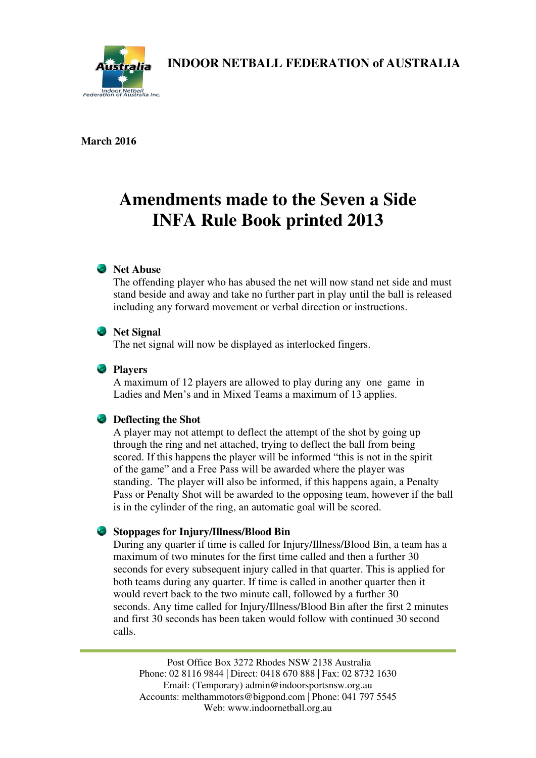

**INDOOR NETBALL FEDERATION of AUSTRALIA** 

#### **March 2016**

# **Amendments made to the Seven a Side INFA Rule Book printed 2013**

## **Net Abuse**

The offending player who has abused the net will now stand net side and must stand beside and away and take no further part in play until the ball is released including any forward movement or verbal direction or instructions.

#### *Net Signal*

The net signal will now be displayed as interlocked fingers.

#### **Players**

A maximum of 12 players are allowed to play during any one game in Ladies and Men's and in Mixed Teams a maximum of 13 applies.

#### **Deflecting the Shot**

A player may not attempt to deflect the attempt of the shot by going up through the ring and net attached, trying to deflect the ball from being scored. If this happens the player will be informed "this is not in the spirit of the game" and a Free Pass will be awarded where the player was standing. The player will also be informed, if this happens again, a Penalty Pass or Penalty Shot will be awarded to the opposing team, however if the ball is in the cylinder of the ring, an automatic goal will be scored.

#### **Stoppages for Injury/Illness/Blood Bin**

During any quarter if time is called for Injury/Illness/Blood Bin, a team has a maximum of two minutes for the first time called and then a further 30 seconds for every subsequent injury called in that quarter. This is applied for both teams during any quarter. If time is called in another quarter then it would revert back to the two minute call, followed by a further 30 seconds. Any time called for Injury/Illness/Blood Bin after the first 2 minutes and first 30 seconds has been taken would follow with continued 30 second calls.

Post Office Box 3272 Rhodes NSW 2138 Australia Phone: 02 8116 9844 | Direct: 0418 670 888 | Fax: 02 8732 1630 Email: (Temporary) [admin@indoorsportsnsw.org.au](mailto:admin@indoorsportsnsw.org.au)  Accounts: [melthammotors@bigpond.com |](mailto:melthammotors@bigpond.com) Phone: 041 797 5545 Web: [www.indoornetball.org.au](http://www.indoornetball.org.au/)